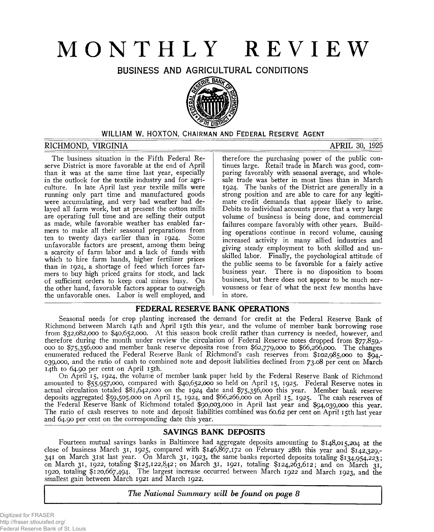# **MONTHLY REVIEW**

**BUSINESS AND AGRICULTURAL CONDITIONS**



# **WILLIAM W. HOXTON, CHAIRMAN AND FEDERAL RESERVE AGENT**

### **RICHMOND, VIRGINIA APRIL 30, 1925**

The business situation in the Fifth Federal Reserve District is more favorable at the end of April than it was at the same time last year, especially in the outlook for the textile industry and for agriculture. In late April last year textile mills were running only part time and manufactured goods were accumulating, and very bad weather had delayed all farm work, but at present the cotton mills are operating full time and are selling their output as made, while favorable weather has enabled farmers to make all their seasonal preparations from ten to twenty days earlier than in 1924. Some unfavorable factors are present, among them being a scarcity of farm labor and a lack of funds with which to hire farm hands, higher fertilizer prices than in 1924, a shortage of feed which forces farmers to buy high priced grains for stock, and lack of sufficient orders to keep coal mines busy. On the other hand, favorable factors appear to outweigh the unfavorable ones. Labor is well employed, and therefore the purchasing power of the public continues large. Retail trade in March was good, comparing favorably with seasonal average, and wholesale trade was better in most lines than in March 1924. The banks of the District are generally in a strong position and are able to care for any legitimate credit demands that appear likely to arise. Debits to individual accounts prove that a very large volume of business is being done, and commercial failures compare favorably with other years. Building operations continue in record volume, causing increased activity in many allied industries and giving steady employment to both skilled and unskilled labor. Finally, the psychological attitude of the public seems to be favorable for a fairly active business year. There is no disposition to boom business, but there does not appear to be much nervousness or fear of what the next few months have in store.

### **FEDERAL RESERVE BANK OPERATIONS**

Seasonal needs for crop planting increased the demand for credit at the Federal Reserve Bank of Richmond between March 14th and April 15th this year, and the volume of member bank borrowing rose from \$32,082,000 to \$40,652,000. At this season book credit rather than currency is needed, however, and therefore during the month under review the circulation of Federal Reserve notes dropped from \$77,859,- 000 to \$75,356,000 and member bank reserve deposits rose from \$62,779,000 to \$66,266,000. The changes enumerated reduced the Federal Reserve Bank of Richmond's cash reserves from \$102,985,000 to \$94,- 039,000, and the ratio of cash to combined note and deposit liabilities declined from 73.08 per cent on March 14th to 64.90 per cent on April 15th.

On April 15, 1924, the volume of member bank paper held by the Federal Reserve Bank of Richmond amounted to \$55,957,000, compared with \$40,652,000 so held on April 15, 1925. Federal Reserve notes in actual circulation totaled \$81,642,000 on the 1924 date and \$75,356,000 this year. Member bank reserve deposits aggregated \$59,505,000 on April 15, 1924, and \$66,266,000 on April 15, 1925. The cash reserves of the Federal Reserve Bank of Richmond totaled \$90,003,000 in April last year and \$94,039,000 this year. The ratio of cash reserves to note and deposit liabilities combined was 60.62 per cent on April 15th last year and 64.90 per cent on the corresponding date this year.

# SAVINGS BANK DEPOSITS

Fourteen mutual savings banks in Baltimore had aggregate deposits amounting to \$148,015,204 at the close of business March 31, 1925, compared with \$146,867,172 on February 28th this year and \$142,329,- 341 on March 31st last year. On March 31, 1923, the same banks reported deposits totaling \$134,954,223; on March 31, 1922, totaling \$125,122,842; on March 31, 1921, totaling \$124,263,612; and on March 31, 1920, totaling \$120,667,494. The largest increase occurred between March 1922 and March 1923, and the smallest gain between March 1921 and March 1922.

*The National Summary will be found on page 8*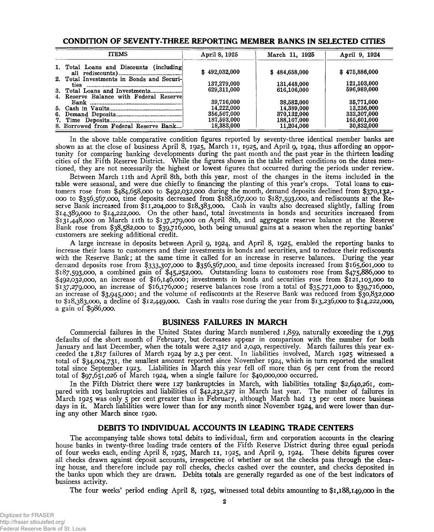| <b>ITEMS</b>                              | April 8, 1925 | March 11, 1925 | April 9, 1924 |  |
|-------------------------------------------|---------------|----------------|---------------|--|
| 1. Total Loans and Discounts (including)  | \$492,032,000 | \$484,658,000  | \$475,886,000 |  |
| 2. Total Investments in Bonds and Securi- | 137,279,000   | 131,448,000    | 121,103,000   |  |
| 4. Reserve Balance with Federal Reserve   | 629,311,000   | 616,106,000    | 596,989,000   |  |
|                                           | 39,716,000    | 38,582,000     | 35,771,000    |  |
|                                           | 14,222,000    | 14,389,000     | 13,236,000    |  |
|                                           | 356,567,000   | 370,132,000    | 333,307,000   |  |
|                                           | 187,593,000   | 188,167,000    | 165,601,000   |  |
| 8. Borrowed from Federal Reserve Bank     | 18,383,000    | 11,204,000     | 30,832,000    |  |

#### **CONDITION OF SEVENTY-THREE REPORTING MEMBER BANKS IN SELECTED CITIES**

In the above table comparative condition figures reported by seventy-three identical member banks are shown as at the close of business April 8, 1925, March 11, 1925, and April 9, 1924, thus affording an opportunity for comparing banking developments during the past month and the past year in the thirteen leading cities of the Fifth Reserve District. While the figures shown in the table reflect conditions on the dates mentioned, they are not necessarily the highest or lowest figures that occurred during the periods under review.

Between March 11th and April 8th, both this year, most of the changes in the items included in the table were seasonal, and were due chiefly to financing the planting of this year's crops. Total loans to customers rose from \$484,658,000 to \$492,032,000 during the month, demand deposits declined from \$370,132,- 000 to \$356,567,000, time deposits decreased from \$188,167,000 to \$187,593,000, and rediscounts at the Reserve Bank increased from \$11,204,000 to \$18,383,000. Cash in vaults also decreased slightly, falling from \$14,389,000 to \$14,222,000. On the other hand, total investments in bonds and securities increased from \$131,448,000 on March 11th to \$137,279,000 on April 8th, and aggregate reserve balance at the Reserve Bank rose from \$38,582,000 to \$39,716,000, both being unusual gains at a season when the reporting banks' customers are seeking additional credit.

A large increase in deposits between April 9, 1924, and April 8, 1925, enabled the reporting banks to increase their loans to customers and their investments in bonds and securities, and to reduce their rediscounts with the Reserve Bank; at the same time it called for an increase in reserve balances. During the year demand deposits rose from \$333,307,000 to \$356,567,000, and time deposits increased from \$165,601,000 to *§187,*593,000, a combined gain of \$45,252,000. Outstanding loans to customers rose from \$475,886,000 to \$492,032,000, an increase of \$16,146,000; investments in bonds and securities rose from \$121,103,000 to \$137,279,000, an increase of \$16,176,000; reserve balances rose from a total of \$35,771,000 to \$39,716,000, an increase of \$3,945,000; and the volume of rediscounts at the Reserve Bank was reduced from \$30,832,000 to \$18,383,000, a decline of \$12,449,000. Cash in vaults rose during the year from \$13,236,000 to \$14,222,000, a gain of \$986,000.

### **BUSINESS FAILURES IN MARCH**

Commercial failures in the United States during March numbered 1,859, naturally exceeding the **1,793** defaults of the short month of February, but decreases appear in comparison with the number for both January and last December, when the totals were 2,317 and 2,040, respectively. March failures this year exceeded the 1,817 failures of March 1924 by 2.3 per cent. In liabilities involved, March 1925 witnessed a total of \$34,004,731, the smallest amount reported since November 1924, which in turn reported the smallest total since September 1923. Liabilities in March this year fell off more than 65 per cent from the record total of \$97,651,026 of March 1924, when a single failure for \$40,000,000 occurred.

In the Fifth District there were 127 bankruptcies in March, with liabilities totaling \$2,640,261, compared with 105 bankruptcies and liabilities of \$42,232,527 in March last year. The number of failures in March 1925 was only 5 per cent greater than in February, although March had 13 per cent more business days in it. March liabilities were lower than for any month since November 1924, and were lower than during any other March since 1920.

### **DEBITS TO INDIVIDUAL ACCOUNTS IN LEADING TRADE CENTERS**

The accompanying table shows total debits to individual, firm and corporation accounts in the clearing house banks in twenty-three leading trade centers of the Fifth Reserve District during three equal periods of four weeks each, ending April 8, 1925, March 11, 1925, and April 9, 1924. These debits figures cover all checks drawn against deposit accounts, irrespective of whether or not the checks pass through the clearing house, and therefore include pay roll checks, checks cashed over the counter, and checks deposited in the banks upon which they are drawn. Debits totals are generally regarded as one of the best indicators of business activity.

The four weeks' period ending April 8, 1925, witnessed total debits amounting to \$1,188,149,000 in the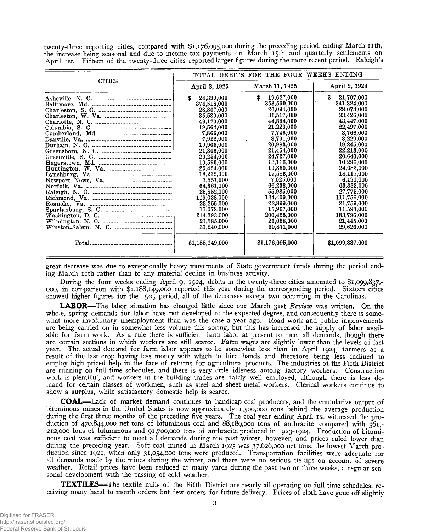twenty-three reporting cities, compared with **\$1,176,095,000** during the preceding period, ending March nth, the increase being seasonal and due to income tax payments on March 15th and quarterly settlements on April 1st. Fifteen of the twenty-three cities reported larger figures during the more recent period. Raleigh's

|               |                  | TOTAL DEBITS FOR THE FOUR WEEKS ENDING |                  |  |
|---------------|------------------|----------------------------------------|------------------|--|
| <b>CITIES</b> | April 8, 1925    | March 11, 1925                         | April 9, 1924    |  |
|               | 24,399,000<br>\$ | \$<br>19,627,000                       | \$<br>21,707,000 |  |
|               | 374,518,000      | 353,590,000                            | 341,824,000      |  |
|               | 28,807,000       | 26,094,000                             | 28,073,000       |  |
|               | 35,589,000       | 31,517,000                             | 33,426,000       |  |
|               | 49,120,000       | 44,884,000                             | 43,447,000       |  |
|               | 19,564,000       | 21,223,000                             | 22,497,000       |  |
|               | 7,866,000        | 7,746,000                              | 8,766,000        |  |
|               | 7,922,000        | 8,791,000                              | 8,229,000        |  |
|               | 19,905,000       | 20,983,000                             | 19,245,000       |  |
|               | 21,806,000       | 21,454,000                             | 22,213,000       |  |
|               | 20,254,000       | 24,727,000                             | 20,640,000       |  |
|               | 10,590,000       | 13,116,000                             | 10,296,000       |  |
|               | 25,424,000       | 19,850,000                             | 24,083,000       |  |
|               | 18,232,000       | 17,586,000                             | 18,117,000       |  |
|               | 7,551,000        | 7.025.000                              | 6,191,000        |  |
|               | 64,361,000       | 66,238,000                             | 63,333,000       |  |
|               | 25,852,000       | 55,985,000                             | 27,775,000       |  |
|               | 119,038,000      | 124,409,000                            | 111,756,000      |  |
|               | 23,255,000       | 22,899,000                             | 21,759,000       |  |
|               | 17,078,000       | 15,967,000                             | 11,593,000       |  |
|               | 214,393,000      | 200,455,000                            | 183,796,000      |  |
|               | 21,385,000       | 21,058,000                             | 21,445,000       |  |
|               | 31,240,000       | 30,871,000                             | 29,626,000       |  |
|               | \$1,188,149,000  | \$1,176,095,000                        | \$1,099,837,000  |  |
|               |                  |                                        |                  |  |

great decrease was due to exceptionally heavy movements of State government funds during the period ending March 11th rather than to any material decline in business activity.

During the four weeks ending April 9, 1924, debits in the twenty-three cities amounted to \$1,099,837,- 000, in comparison with \$1,188,149,000 reported this year during the corresponding period. Sixteen cities showed higher figures for the 1925 period, all of the decreases except two occurring in the Carolinas.

**LABOR**— The labor situation has changed little since our March 31st *Review* was written. On the whole, spring demands for labor have not developed to the expected degree, and consequently there is somewhat more involuntary unemployment than was the case a year ago. Road work and public improvements are being carried on in somewhat less volume this spring, but this has increased the supply of labor available for farm work. As a rule there is sufficient farm labor at present to meet all demands, though there are certain sections in which workers are still scarce. Farm wages are slightly lower than the levels of last year. The actual demand for farm labor appears to be somewhat less than in April 1924, farmers as a result of the last crop having less money with which to hire hands and therefore being less inclined to employ high priced help in the face of returns for agricultural products. The industries of the Fifth District are running on full time schedules, and there is very little idleness among factory workers. Construction work is plentiful, and workers in the building trades are fairly well employed, although there is less demand for certain classes of workmen, such as steel and sheet metal workers. Clerical workers continue to show a surplus, while satisfactory domestic help is scarce.

**COAL**— Lack of market demand continues to handicap coal producers, and the cumulative output of bituminous mines in the United States is now approximately 1,500,000 tons behind the average production during the first three months of the preceding five years. The coal year ending April 1st witnessed the production of 470,844,000 net tons of bituminous coal and 88,189,000 tons of anthracite, compared with 561,- 212,000 tons of bituminous and 91,700,000 tons of anthracite produced in 1923-1924. Production of bituminous coal was sufficient to meet all demands during the past winter, however, and prices ruled lower than during the preceding year. Soft coal mined in March 1925 was 37,626,000 net tons, the lowest March production since 1921, when only 31,054,000 tons were produced. Transportation facilities were adequate for all demands made by the mines during the winter, and there were no serious tie-ups on account of severe weather. Retail prices have been reduced at many yards during the past two or three weeks, a regular seasonal development with the passing of cold weather.

**TEXTILES**— The textile mills of the Fifth District are nearly all operating on full time schedules, receiving many hand to mouth orders but few orders for future delivery. Prices of cloth have gone off slightly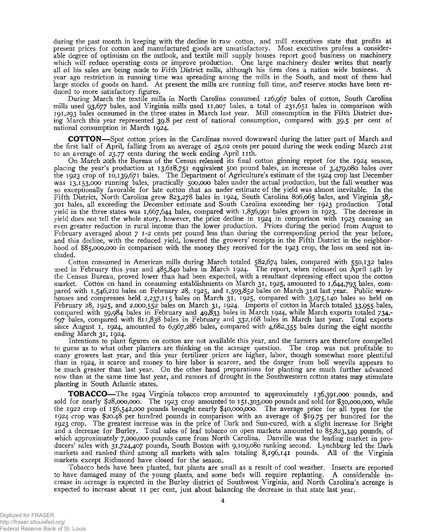during the past month in keeping with the decline in raw cotton, and mill executives state that profits at present prices for cotton and manufactured goods are unsatisfactory. Most executives profess a considerable degree of optimism on the outlook, and textile mill supply houses report good business on machinery which will reduce operating costs or improve production. One large machinery dealer writes that nearly all of his sales are being made to Fifth District mills, although his firm does a nation wide business. A year ago restriction in running time was spreading among the mills in the South, and most of them had large stocks of goods on hand. At present the mills are running full time, and" reserve stocks have been reduced to more satisfactory figures.

During March the textile mills in North Carolina consumed 126,967 bales of cotton, South Carolina mills used 93,677 bales, and Virginia mills used 11,007 bales, a total of 231,651 bales in comparison with 191,293 bales ocnsumed in the three states in March last year. Mill consumption in the Fifth District during March this year represented 39.8 per cent of national consumption, compared with 39.5 per cent of national consumption in March 1924.

**COTTON**— Spot cotton prices in the Carolinas moved downward during the latter part of March and the first half of April, falling from an average of 25.02 cents per pound during the week ending March 21st to an average of  $23.77$  cents during the week ending April 11th.

On March 20th the Bureau of the Census released its final cotton ginning report for the 1924 season, placing the year's production at 13,618,751 equivalent 500 pound bales, an increase of 3,479,080 bales over the 1923 crop of 10,139,671 bales. The Department of Agriculture's estimate of the 1924 crop last December was 13,153,000 running bales, practically 500,000 bales under the actual production, but the fall weather was so exceptionally favorable for late cotton that an under estimate of the yield was almost inevitable. In the Fifth District, North Carolina grew 823,278 bales in 1924, South Carolina 806,065 bales, and Virginia 38,- 301 bales, all exceeding the December estimate and South Carolina exceeding her 1923 production Total yield in the three states was 1,667,644 bales, compared with 1,836,991 bales grown in 1923. The decrease in yield does not tell the whole story, however, the price decline in 1924 in comparison with 1923 causing an even greater reduction in rural income than the lower production. Prices during the period from August to February averaged about 71-2 cents per pound less than during the corresponding period the year before, and this decline, with the reduced yield, lowered the growers' receipts in the Fifth District in the neighborhood of \$85,000,000 in comparison with the money they received for the 1923 crop, the loss on seed not included.

Cotton consumed in American mills during March totaled 582,674 bales, compared with 550,132 bales used in February this year and 485,840 bales in March 1924. The report, when released on April 14th by the Census Bureau, proved lower than had been expected, with a resultant depressing effect upon the cotton market. Cotton on hand in consuming establishments on March 31, 1925, amounted to 1,644,793 bales, compared with 1,546,210 bales on February 28, 1925, and 1,503,852 bales on March 31st last year. Public warehouses and compresses held 2,237,115 bales on March 31, 1925, compared with 3,075,140 bales so held on February 28, 1925, and 2,000,552 bales on March 31, 1924. Imports of cotton in March totaled 33,955 bales, compared with 59,984 bales in February and 49,833 bales in March 1924, while March exports totaled 734,- 697 bales, compared with 811,838 bales in February and 332,168 bales in March last year. Total exports since August 1, 1924, amounted to 6,967,286 bales, compared with 4,682,355 bales during the eight months ending March 31, 1924.

Intentions to plant figures on cotton are not available this year, and the farmers are therefore compelled to guess as to what other planters are thinking on the acreage question. The crop was not profitable to many growers last year, and this year fertilizer prices are higher, labor, though somewhat more plentiful than in 1924, is scarce and money to hire labor is scarcer, and the danger from boll weevils appears to be much greater than last year. On the other hand preparations for planting are much further advanced now than at the same time last year, and rumors of drought in the Southwestern cotton states may stimulate planting in South Atlantic states.

**TOBACCO**— The 1924 Virginia tobacco crop amounted to approximately 136,391,000 pounds, and sold for nearly \$28,000,000. The 1923 crop amounted to 151,303,000 pounds and sold for \$30,000,000, while the 1922 crop of 156,542,000 pounds brought nearly \$40,000,000. The average price for all types for the 1924 crop was \$20.48 per hundred pounds in comparison with an average of \$19.75 per hundred for the 1923 crop. The greatest increase was in the price of Dark and Sun-cured, with a slight increase for Bright and a decrease for Burley. Total sales of leaf tobacco on open markets amounted to 85,823,349 pounds, of which approximately 7,000,000 pounds came from North Carolina. Danville was the leading market in producers' sales with 31,724,407 pounds, South Boston with 9,109,080 ranking second. Lynchburg led the Dark markets and ranked third among all markets with sales totaling 8,196,141 pounds. All of the Virginia markets except Richmond have closed for the season.

Tobacco beds have been planted, but plants are small as a result of cool weather. Insects are reported to have damaged many of the young plants, and some beds will require replanting. A considerable increase in acreage is expected in the Burley district of Southwest Virginia, and North Carolina's acreage is expected to increase about 11 per cent, just about balancing the decrease in that state last year.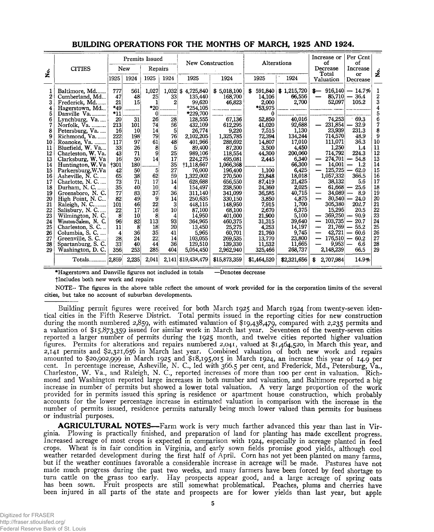|                    |                      |                 |       | Premits Issued |          | New Construction  |              |              | Alterations | Per Ccnt<br>Increase or<br>οf<br>of |                                  |              |
|--------------------|----------------------|-----------------|-------|----------------|----------|-------------------|--------------|--------------|-------------|-------------------------------------|----------------------------------|--------------|
| $\dot{\mathbf{z}}$ | <b>CITIES</b>        | New             |       | Repairs        |          |                   |              |              |             | Decrease                            | Increase                         | ف<br>ا       |
|                    |                      | 1925            | 1924  | 1925           | 1924     | 1925              | 1924         | 1925         | 1924        | Total<br>Valuation                  | or<br>Decrease                   |              |
|                    | Baltimore, Md        | 777             | 561   | 1,027          |          | 1,032 \$4,725,840 | \$5,018,100  | 591,840<br>S | \$1,215,720 | $\mathbf{s}-$                       | $916,140 - 14.7\%$               | 1            |
| 2                  | Cumberland, Md       | 47              | 48    | 25             | 33       | 135,440           | 168.700      | 14.106       | 66,556      | 85,710                              | $-36.4$                          | $\mathbf{2}$ |
| 3                  | Frederick, Md.       | 21              | 15    | 1              | 2        | 99,620            | 46,823       | 2,000        | 2,700       | 52,097                              | 105.2                            | 3            |
| 4                  | Hagerstown, Md       | *49             |       | $*20$          |          | $*254,105$        |              | *53,975      |             |                                     |                                  | 4            |
| 5                  | Danville Va          | $*11$           | .     | 0              |          | $*229,700$        |              | $\Omega$     |             |                                     |                                  | 5            |
| 6                  | Lynchburg, Va        | 20              | 31    | 26             | 28       | 128,555           | 67,136       | 52,850       | 40,016      | 74,253                              | 69.3                             | 6            |
| 7                  | Norfolk, Va.         | 213             | 101   | 74             | 56       | 432,109           | 612,295      | 41,020       | 92,688      | 231,854                             | 32.9                             | 7            |
| 8                  | Petersburg, Va.      | 16              | 10    | 14             | 5        | 26.774            | 9,220        | 7,515        | 1.130       | 23,939                              | 231.3                            | 8            |
| 9                  | Richmond, Va         | 222             | 198   | 79             | 76İ      | 2,102,205         | 1,325,785    | 72,394       | 134,244     | 714,570                             | 48.9                             | 9            |
| 10                 | Roanoke, Va.         | 117             | 97    | 61             | 48       | 401.966           | 288,692      | 14,807       | 17,010      | 111.071                             | 36.3                             | 10           |
| 11                 | Bluefield, W. Va     | 33              | 26    | 8              | 5        | 89,400            | 87,200       | 3,500        | 4.450       | 1.250                               | 1.4                              | 11           |
| 12                 | Charleston, W. Va.   | 43              | 71    | 9              | 25       | 989,106           | 118,554      | 44,300       | 200,060     | 714.792                             | 224.3                            | 12           |
| 13                 | Clarksburg, W. Va    | 16              | 50    | 14             | 17       | 224,275           | 495,081      | 2,445        | 6.340       | 274,701                             | 54.8                             | 13           |
| 14                 | Huntington, W. Va    | $+301$          | 180   | .              | 35       | +1,118,667        | 1,066,368    |              | 66,300      | 14,001<br>—                         | 1.2                              | 14           |
| 15                 | Parkersburg, W.Va    | 42              | 50    | 5              | 27       | 76,000            | 196,400      | 1,100        | 6,425       | 125,725                             | 62.0                             | 15           |
| 16                 | Asheville, N. C.     | 65              | 38    | 62             | 59       | 1,322,002         | 270,500      | 23,848       | 18,018      | 1,057,332                           | 366.5                            | 16           |
| 17                 | Charlotte, N.C       | 73              | 71    | 17             | 14       | 628,688           | 656,550      | 87,419       | 21,425      | 38,132                              | 5.6                              | 17           |
| 18                 | Durham, N. C.        | 35              | 40    | 10             | 4        | 154,497           | 238,500      | 24,360       | 2,025       | 61,668<br>−                         | 25.6<br>$\overline{\phantom{0}}$ | 18           |
| 19                 | Greensboro, N.C.     | 77              | 83    | 37             | 36       | 311.140           | 341,099      | 36,585       | 40,715      | 34,089                              | 8.9                              | 19           |
| 20                 | High Point, N.C      | 82              | 49    | 9              | 14       | 250.635           | 330.150      | 3,850        | 4.875       | $30,540 -$                          | 24.0                             | 20           |
| 21                 | Raleigh, N. C        | 101             | 46    | 22             | 3        | 448,115           | 148.950      | 7,915        | 1,700       | 305,380                             | 202.7                            | 21           |
| 22                 | Salisbury, N. C.     | 22              | 17    | 16             | 10       | 87.100            | 68,100       | 2,670        | 6,375       | 15.295                              | 20.5                             | 22           |
| 23                 | Wilmington, N. C.    | 8               | 10    | 8              | 4        | 14,950            | 401,000      | 21,900       | 5,100       | 369,250<br>—                        | 90.9<br>$\sim$                   | 23           |
| 24                 | Winston-Salem, N. C. | 96              | 82    | 113            | 93       | 364,965           | 460,375      | 31,315       | 39,640      | 103,735<br>—                        | 20.7                             | 24           |
| 25                 | Charleston, S. C     | 11              | 8     | 18             | 20       | 13,450            | 25,275       | 4,253        | 14,197      | 21,769<br>----                      | 55.2                             | 25           |
| 26                 | Columbia, S. C.      | 4               | 36    | 35             | 41       | 5,965             | 60.701       | 21,760       | 9,745       | 42.721<br>—                         | 60.6                             | 26           |
| 27                 | Greenville, S. C     | 28              | 24    | 22<br>44       | 14<br>36 | 103,055           | 269,535      | 13,770       | 23,800      | 176,510<br>—<br>9.953               | 60.2                             | 27<br>28     |
| 28                 | Spartanburg, S. C.   | 33 <sup>5</sup> | 40    | 285            | 404      | 129,510           | 139,330      | 11,532       | 11,665      |                                     | 6.6                              | 29           |
| 29                 | Washington, D. C.    | 356             | 253   |                |          | 5,054,450         | 2,962,940    | 325,466      | 268.737     | 2,148,239                           | 66.5                             |              |
|                    | Totals 2.859         |                 | 2,235 | 2,041          | 2,141    | \$19,438,479      | \$15,873,359 | \$1,464,520  | \$2,321,656 | 2,707,984<br>S                      | 14.9%                            |              |

#### **BUILDING OPERATIONS FOR THE MONTHS OF MARCH, 1925 AND 1924.**

**♦Hagerstown and Danville figures not included in totals —Denotes decrease**

**tlncludes both new work and repairs**

**NOTE- The figures in the above table reflect the amount of work provided for in the corporation limits of the several cities, but take no account of suburban developments.**

Building permit figures were received for both March 1925 and March 1924 from twenty-seven identical cities in the Fifth Reserve District. Total permits issued in the reporting cities for new construction during the month numbered 2,859, with estimated valuation of \$19,438,479, compared with 2,235 permits and a valuation of \$15,873,359 issued for similar work in March last year. Seventeen of the twenty-seven cities reported a larger number of permits during the 1925 month, and twelve cities reported higher valuation figures. Permits for alterations and repairs numbered 2,041, valued at \$1,464,520, in March this year, and 2,141 permits and \$2,321,656 in March last year. Combined valuation of both new work; and repairs amounted to \$20,902,999 in March 1925 and \$18,195,015 in March 1924, an increase this year of 14.9 per cent. In percentage increase, Asheville, N. C., led with 366.5 per cent, and Frederick, Md., Petersburg, Va., Charleston, W. Va., and Raleigh, N. C., reported increases of more than 100 per cent in valuation. Richmond and Washington reported large increases in both number and valuation, and Baltimore reported a big increase in number of permits but showed a lower total valuation. A very large proportion of the work provided for in permits issued this spring is residence or apartment house construction, which probably accounts for the lower percentage increase in estimated valuation in comparison with the increase in the number of permits issued, residence permits naturally being much lower valued than permits for business or industrial purposes.

AGRICULTURAL NOTES-Farm work is very much farther advanced this year than last in Virginia. Plowing is practically finished, and preparation of land for planting has made excellent progress. Increased acreage of most crops is expected in comparison with 1924, especially in acreage planted in feed crops. Wheat is in fair condition in Virginia, and early sown fields promise good yields, although cool weather retarded development during the first half of April. Corn has not yet been planted on many farms, but if the weather continues favorable a considerable increase in acreage will be made. Pastures have not made much progress during the past two weeks, and many farmers have been forced by feed shortage to turn cattle on the grass too early. Hay prospects appear good, and a large acreage of spring oats has been sown. Fruit prospects are still somewhat problematical. Peaches, plums and cherries have been injured in all parts of the state and prospects are for lower yields than last year, but apple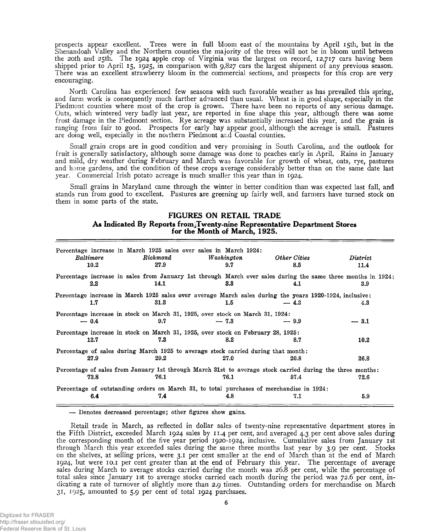prospects appear excellent. Trees were in full bloom east of the mountains by April 15th, but in the Shenandoah Valley and the Northern counties the majority of the trees will not be in bloom until between the 20th and 25th. The 1924 apple crop of Virginia was the largest on record, 12,717 cars having been shipped prior to April 15, 1925, in comparison with 9,827 cars the largest shipment of any previous season. There was an excellent strawberry bloom in the commercial sections, and prospects for this crop are very encouraging.

North Carolina has experienced few seasons with such favorable weather as has prevailed this spring, and farm work is consequently much farther advanced than usual. Wheat is in good shape, especially in the Piedmont counties where most of the crop is grown. There have been no reports of any serious damage. Oats, which wintered very badly last year, are reported in fine shape this year, although there was some frost damage in the Piedmont section. Rye acreage was substantially increased this year, and the grain is ranging from fair to good. Prospects for early hay appear good, although the acreage is small. Pastures are doing well, especially in the northern Piedmont and Coastal counties.

Small grain crops are in good condition and very promising in South Carolina, and the outlook for fruit is generally satisfactory, although some damage was done to peaches early in April. Rains in January and mild, dry weather during February and March was favorable for growth of wheat, oats, rye, pastures and home gardens, and the condition of these crops average considerably better than on the same date last year. Commercial Irish potato acreage is much smaller this year than in 1924.

Small grains in Maryland came through the winter in better condition than was expected last fall, and stands run from good to excellent. Pastures are greening up fairly well, and farmers have turned stock on them in some parts of the state.

#### **FIGURES ON RETAIL TRADE As Indicated By Reports fromjTwenty-nine Representative Department Stores for the Month of March, 1925.**

| Baltimore<br>10.2 | Percentage increase in March 1925 sales over sales in March 1924:<br>Richmond<br>27.9                                | Washington<br>9.7 | Other Cities<br>8.5 | $\it District$<br>11.4 |
|-------------------|----------------------------------------------------------------------------------------------------------------------|-------------------|---------------------|------------------------|
| $2.2\,$           | Percentage increase in sales from January 1st through March over sales during the same three months in 1924;<br>14.1 | $3.3\phantom{0}$  | 4.1                 | 3.9                    |
| 1.7               | Percentage increase in March 1925 sales over average March sales during the years 1920-1924, inclusive:<br>31.3      | $1.5\phantom{0}$  | $-4.3$              | 4.3                    |
| $-0.4$            | Percentage increase in stock on March 31, 1925, over stock on March 31, 1924:<br>9.7                                 | $-7.3$            | $-9.9$              | $-3.1$                 |
| 12.7              | Percentage increase in stock on March 31, 1925, over stock on February 28, 1925:<br>7.3                              | 8.2               | 8.7                 | 10.2                   |
| 27.9              | Percentage of sales during March 1925 to average stock carried during that month:<br>29.2                            | 27.0              | 20.8                | 26.8                   |
| 73.8              | Percentage of sales from January 1st through March 31st to average stock carried during the three months:<br>76.1    | 76.1              | 57.4                | 72.6                   |
| 6.4               | Percentage of outstanding orders on March 31, to total purchases of merchandise in 1924:<br>7.4                      | 4.8               | 7.1                 | 5.9                    |

**— Denotes decreased percentage; other figures show gains.**

Retail trade in March, as reflected in dollar sales of twenty-nine representative department stores in the Fifth District, exceeded March 1924 sales by 11.4 per cent, and averaged 4.3 per cent above sales during the corresponding month of the five year period 1920-1924, inclusive. Cumulative sales from January 1st through March this year exceeded sales during the same three months last year by 3.9 per cent. Stocks on the shelves, at selling prices, were 3.1 per cent smaller at the end of March than at the end of March 1924, but were 10.1 per cent greater than at the end of February this year. The percentage of average sales during March to average stocks carried during the month was 26.8 per cent, while the percentage of total sales since January 1st to average stocks carried each month during the period was 72.6 per cent, indicating a rate of turnover of slightly more than 2.9 times. Outstanding orders for merchandise on March 31, 1925, amounted to 5.9 per cent of total 1924 purchases.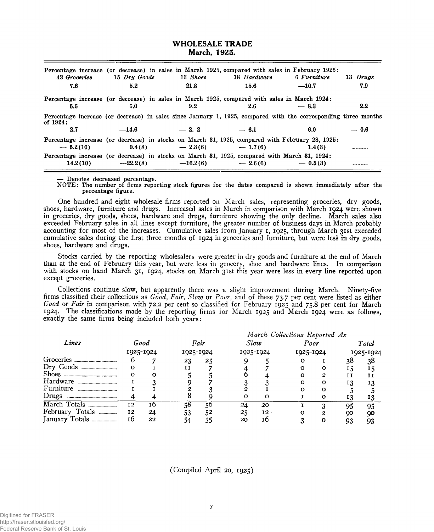#### **WHOLESALE TRADE March, 1925.**

| 43 Groceries | 15 Dru Goods | 13 Shoes   | Percentage increase (or decrease) in sales in March 1925, compared with sales in February 1925:<br>18 Hardware | 6 Furniture | 13 Drugs      |
|--------------|--------------|------------|----------------------------------------------------------------------------------------------------------------|-------------|---------------|
| 7.6          | 5.2          | 21.8       | 15.6                                                                                                           | $-10.7$     | 7.9           |
|              |              |            | Percentage increase (or decrease) in sales in March 1925, compared with sales in March 1924:                   |             |               |
| 5.6          | 6.0          | 9.2        | 2.6                                                                                                            | $-8.3$      | $2.2^{\circ}$ |
| of $1924:$   |              |            | Percentage increase (or decrease) in sales since January 1, 1925, compared with the corresponding three months |             |               |
| 2.7          | $-14.6$      | $-2.2$     | $-6.1$                                                                                                         | 6.0         | $-0.6$        |
| $-5.2(10)$   | 0.4(8)       | $-2.3(6)$  | Percentage increase (or decrease) in stocks on March 31, 1925, compared with February 28, 1925:<br>$-1.7(6)$   | 1.4(3)      |               |
| 14.2(10)     | $-22.2(8)$   | $-16.2(6)$ | Percentage increase (or decrease) in stocks on March 31, 1925, compared with March 31, 1924:<br>$-2.6(6)$      | $-0.5(3)$   |               |

**— Denotes decreased percentage.**

**NOTE: The number of firms reporting stock figures for the dates compared is shown immediately after the percentage figure.**

One hundred and eight wholesale firms reported on March sales, representing groceries, dry goods, shoes, hardware, furniture and drugs. Increased sales in March in comparison with March 1924 were shown in groceries, dry goods, shoes, hardware and drugs, furniture showing the only decline. March sales also exceeded February sales in all lines except furniture, the greater number of business days in March probably accounting for most of the increases. Cumulative sales from January 1, 1925, through March 31st exceeded cumulative sales during the first three months of 1924 in groceries and furniture, but were less in dry goods, shoes, hardware and drugs.

Stocks carried by the reporting wholesalers were greater in dry goods and furniture at the end of March than at the end of February this year, but were less in grocery, shoe and hardware lines. In comparison with stocks on hand March 31, 1924, stocks on March 31st this year were less in every line reported upon except groceries.

Collections continue slow, but apparently there was a slight improvement during March. Ninety-five firms classified their collections as *Good, Fair, Slow* or *Poor,* and of these 73.7 per cent were listed as either *Good* or *Fair* in comparison with 72.2 per cent so classified for February 1925 and 75.8 per cent for March 1924. The classifications made by the reporting firms for March 1925 and March 1924 were as follows, exactly the same firms being included both years:

|                                                   |                   |    |                   |    | March Collections Reported As |           |      |           |       |           |
|---------------------------------------------------|-------------------|----|-------------------|----|-------------------------------|-----------|------|-----------|-------|-----------|
| Lines                                             | Good<br>1925-1924 |    | Fair<br>1925-1924 |    | Slow                          |           | Poor |           | Total |           |
|                                                   |                   |    |                   |    |                               | 1925-1924 |      | 1925-1924 |       | 1925-1924 |
| Groceries<br>------------------------------------ |                   |    | 23                | 25 |                               |           |      |           | 38    | 38        |
| Dry Goods<br>------------------------------       | Ω                 |    |                   |    |                               |           |      |           | 15    | 15        |
| <b>Shoes</b>                                      |                   | Ω  |                   |    |                               |           |      | 2         | ΙΙ    | 11        |
| Hardware                                          |                   |    |                   |    |                               |           |      | Ω         | 13    | 13        |
| Furniture                                         |                   |    |                   |    |                               |           |      | റ         |       |           |
| Drugs                                             |                   |    |                   |    | о                             |           |      |           | 13    |           |
| March Totals                                      | 12                | 16 | 58                | цh | 24                            | 20        |      |           | 95    | 95        |
| February Totals                                   | 12                | 24 |                   | 52 | 25                            | $12 -$    |      | 2         | 90    | 90        |
| January Totals                                    | 16                | 22 | 54                | 55 | 20                            | Ιb        |      | o         | 93    | 93        |

(Compiled April 20, 1925)